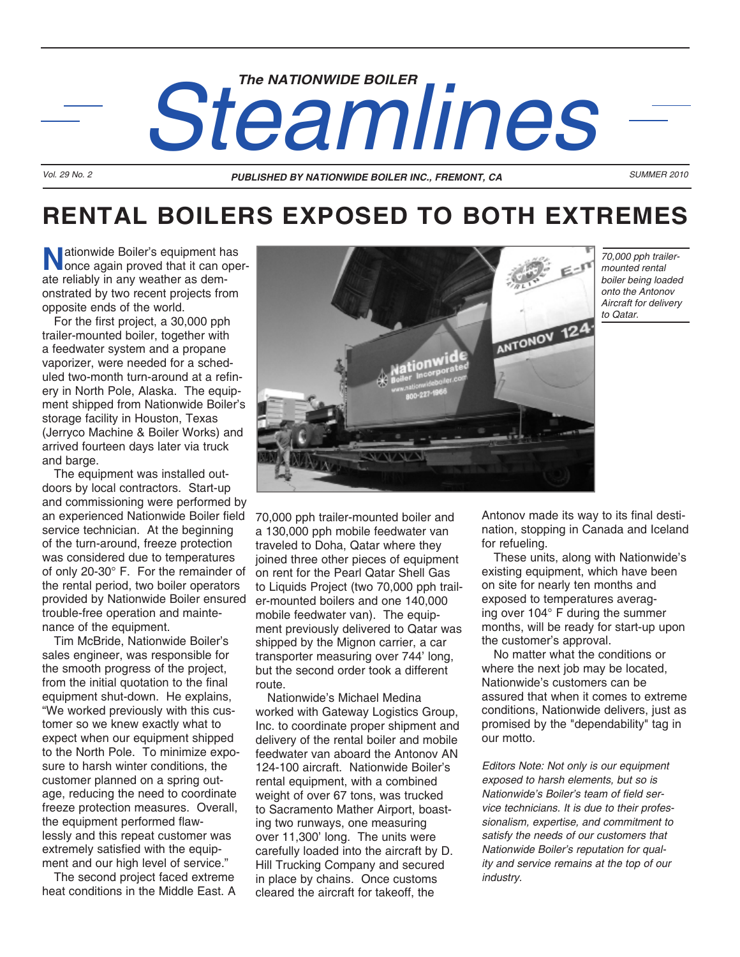# Steamlines **Steamline**s

## **RENTAL BOILERS EXPOSED TO BOTH EXTREMES**

**N**ationwide Boiler's equipment has once again proved that it can operate reliably in any weather as demonstrated by two recent projects from opposite ends of the world.

For the first project, a 30,000 pph trailer-mounted boiler, together with a feedwater system and a propane vaporizer, were needed for a scheduled two-month turn-around at a refinery in North Pole, Alaska. The equipment shipped from Nationwide Boiler's storage facility in Houston, Texas (Jerryco Machine & Boiler Works) and arrived fourteen days later via truck and barge.

The equipment was installed outdoors by local contractors. Start-up and commissioning were performed by an experienced Nationwide Boiler field service technician. At the beginning of the turn-around, freeze protection was considered due to temperatures of only 20-30° F. For the remainder of the rental period, two boiler operators provided by Nationwide Boiler ensured trouble-free operation and maintenance of the equipment.

Tim McBride, Nationwide Boiler's sales engineer, was responsible for the smooth progress of the project, from the initial quotation to the final equipment shut-down. He explains, "We worked previously with this customer so we knew exactly what to expect when our equipment shipped to the North Pole. To minimize exposure to harsh winter conditions, the customer planned on a spring outage, reducing the need to coordinate freeze protection measures. Overall, the equipment performed flawlessly and this repeat customer was extremely satisfied with the equipment and our high level of service."

The second project faced extreme heat conditions in the Middle East. A



*70,000 pph trailermounted rental boiler being loaded onto the Antonov Aircraft for delivery to Qatar.*

70,000 pph trailer-mounted boiler and a 130,000 pph mobile feedwater van traveled to Doha, Qatar where they joined three other pieces of equipment on rent for the Pearl Qatar Shell Gas to Liquids Project (two 70,000 pph trailer-mounted boilers and one 140,000 mobile feedwater van). The equipment previously delivered to Qatar was shipped by the Mignon carrier, a car transporter measuring over 744' long, but the second order took a different route.

Nationwide's Michael Medina worked with Gateway Logistics Group, Inc. to coordinate proper shipment and delivery of the rental boiler and mobile feedwater van aboard the Antonov AN 124-100 aircraft. Nationwide Boiler's rental equipment, with a combined weight of over 67 tons, was trucked to Sacramento Mather Airport, boasting two runways, one measuring over 11,300' long. The units were carefully loaded into the aircraft by D. Hill Trucking Company and secured in place by chains. Once customs cleared the aircraft for takeoff, the

Antonov made its way to its final destination, stopping in Canada and Iceland for refueling.

These units, along with Nationwide's existing equipment, which have been on site for nearly ten months and exposed to temperatures averaging over 104° F during the summer months, will be ready for start-up upon the customer's approval.

No matter what the conditions or where the next job may be located, Nationwide's customers can be assured that when it comes to extreme conditions, Nationwide delivers, just as promised by the "dependability" tag in our motto.

*Editors Note: Not only is our equipment exposed to harsh elements, but so is Nationwide's Boiler's team of field service technicians. It is due to their professionalism, expertise, and commitment to satisfy the needs of our customers that Nationwide Boiler's reputation for quality and service remains at the top of our industry.*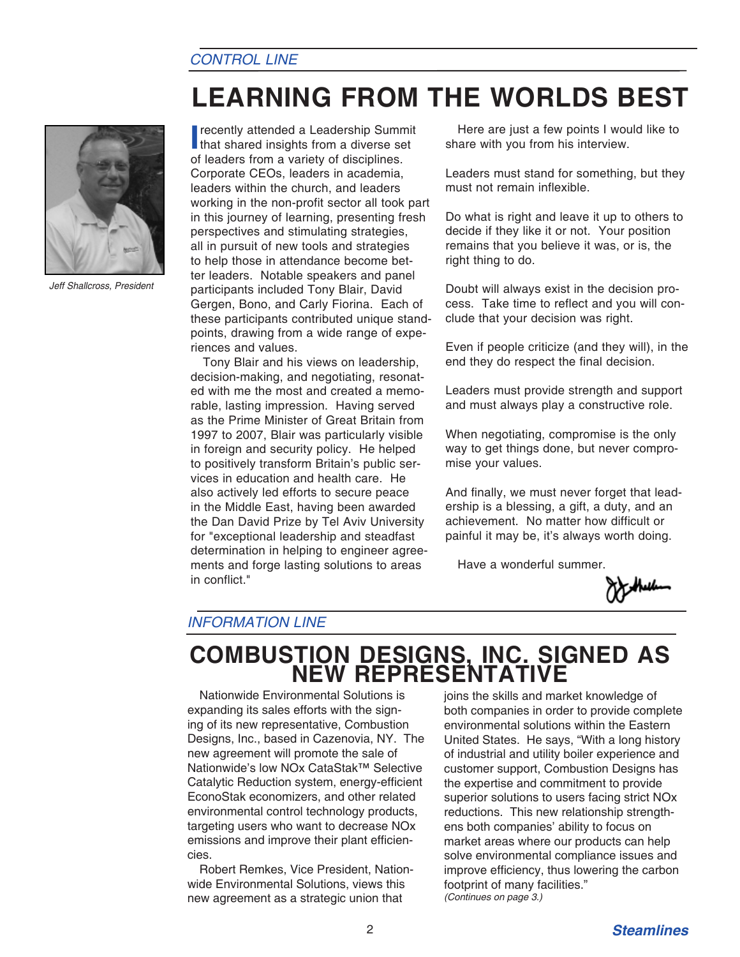### *CONTROL LINE*

# **LEARNING FROM THE WORLDS BEST**



*Jeff Shallcross, President*

**I** recently attended a Leadership Summit<br>that shared insights from a diverse set of leaders from a variety of disciplines. Corporate CEOs, leaders in academia, leaders within the church, and leaders working in the non-profit sector all took part in this journey of learning, presenting fresh perspectives and stimulating strategies, all in pursuit of new tools and strategies to help those in attendance become better leaders. Notable speakers and panel participants included Tony Blair, David Gergen, Bono, and Carly Fiorina. Each of these participants contributed unique standpoints, drawing from a wide range of experiences and values.

Tony Blair and his views on leadership, decision-making, and negotiating, resonated with me the most and created a memorable, lasting impression. Having served as the Prime Minister of Great Britain from 1997 to 2007, Blair was particularly visible in foreign and security policy. He helped to positively transform Britain's public services in education and health care. He also actively led efforts to secure peace in the Middle East, having been awarded the Dan David Prize by Tel Aviv University for "exceptional leadership and steadfast determination in helping to engineer agreements and forge lasting solutions to areas in conflict."

Here are just a few points I would like to share with you from his interview.

Leaders must stand for something, but they must not remain inflexible.

Do what is right and leave it up to others to decide if they like it or not. Your position remains that you believe it was, or is, the right thing to do.

Doubt will always exist in the decision process. Take time to reflect and you will conclude that your decision was right.

Even if people criticize (and they will), in the end they do respect the final decision.

Leaders must provide strength and support and must always play a constructive role.

When negotiating, compromise is the only way to get things done, but never compromise your values.

And finally, we must never forget that leadership is a blessing, a gift, a duty, and an achievement. No matter how difficult or painful it may be, it's always worth doing.

Have a wonderful summer.



### *INFORMATION LINE*

# **COMBUSTION DESIGNS, INC. SIGNED AS NEW REPRESENTATIVE**

Nationwide Environmental Solutions is expanding its sales efforts with the signing of its new representative, Combustion Designs, Inc., based in Cazenovia, NY. The new agreement will promote the sale of Nationwide's low NOx CataStak™ Selective Catalytic Reduction system, energy-efficient EconoStak economizers, and other related environmental control technology products, targeting users who want to decrease NOx emissions and improve their plant efficiencies.

Robert Remkes, Vice President, Nationwide Environmental Solutions, views this new agreement as a strategic union that

joins the skills and market knowledge of both companies in order to provide complete environmental solutions within the Eastern United States. He says, "With a long history of industrial and utility boiler experience and customer support, Combustion Designs has the expertise and commitment to provide superior solutions to users facing strict NOx reductions. This new relationship strengthens both companies' ability to focus on market areas where our products can help solve environmental compliance issues and improve efficiency, thus lowering the carbon footprint of many facilities." *(Continues on page 3.)*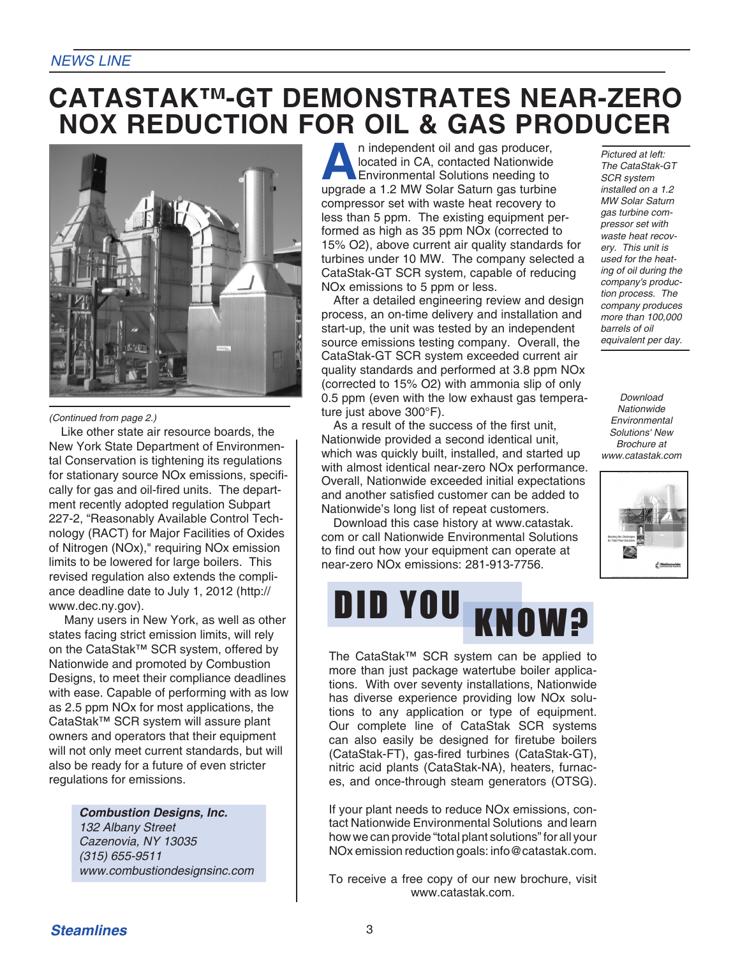### *NEWS LINE*

### **CATASTAK™-GT DEMONSTRATES NEAR-ZERO NOX REDUCTION FOR OIL & GAS PRODUCER**



*(Continued from page 2.)*

Like other state air resource boards, the New York State Department of Environmental Conservation is tightening its regulations for stationary source NOx emissions, specifically for gas and oil-fired units. The department recently adopted regulation Subpart 227-2, "Reasonably Available Control Technology (RACT) for Major Facilities of Oxides of Nitrogen (NOx)," requiring NOx emission limits to be lowered for large boilers. This revised regulation also extends the compliance deadline date to July 1, 2012 (http:// www.dec.ny.gov).

Many users in New York, as well as other states facing strict emission limits, will rely on the CataStak™ SCR system, offered by Nationwide and promoted by Combustion Designs, to meet their compliance deadlines with ease. Capable of performing with as low as 2.5 ppm NOx for most applications, the CataStak™ SCR system will assure plant owners and operators that their equipment will not only meet current standards, but will also be ready for a future of even stricter regulations for emissions.

> *Combustion Designs, Inc. 132 Albany Street Cazenovia, NY 13035 (315) 655-9511 www.combustiondesignsinc.com*

**A**n independent oil and gas producer,<br>located in CA, contacted Nationwide<br>Environmental Solutions needing to<br>uparade a 1.2 MW Solar Saturn gas turbine located in CA, contacted Nationwide Environmental Solutions needing to upgrade a 1.2 MW Solar Saturn gas turbine compressor set with waste heat recovery to less than 5 ppm. The existing equipment performed as high as 35 ppm NOx (corrected to 15% O2), above current air quality standards for turbines under 10 MW. The company selected a CataStak-GT SCR system, capable of reducing NOx emissions to 5 ppm or less.

After a detailed engineering review and design process, an on-time delivery and installation and start-up, the unit was tested by an independent source emissions testing company. Overall, the CataStak-GT SCR system exceeded current air quality standards and performed at 3.8 ppm NOx (corrected to 15% O2) with ammonia slip of only 0.5 ppm (even with the low exhaust gas temperature just above 300°F).

As a result of the success of the first unit, Nationwide provided a second identical unit, which was quickly built, installed, and started up with almost identical near-zero NOx performance. Overall, Nationwide exceeded initial expectations and another satisfied customer can be added to Nationwide's long list of repeat customers.

Download this case history at www.catastak. com or call Nationwide Environmental Solutions to find out how your equipment can operate at near-zero NOx emissions: 281-913-7756.



The CataStak™ SCR system can be applied to more than just package watertube boiler applications. With over seventy installations, Nationwide has diverse experience providing low NOx solutions to any application or type of equipment. Our complete line of CataStak SCR systems can also easily be designed for firetube boilers (CataStak-FT), gas-fired turbines (CataStak-GT), nitric acid plants (CataStak-NA), heaters, furnaces, and once-through steam generators (OTSG).

If your plant needs to reduce NOx emissions, contact Nationwide Environmental Solutions and learn how we can provide "total plant solutions" for all your NOx emission reduction goals: info@catastak.com.

To receive a free copy of our new brochure, visit www.catastak.com.

*Pictured at left: The CataStak-GT SCR system installed on a 1.2 MW Solar Saturn gas turbine compressor set with waste heat recovery. This unit is used for the heating of oil during the company's production process. The company produces more than 100,000 barrels of oil equivalent per day.*

*Download Nationwide Environmental Solutions' New Brochure at www.catastak.com*